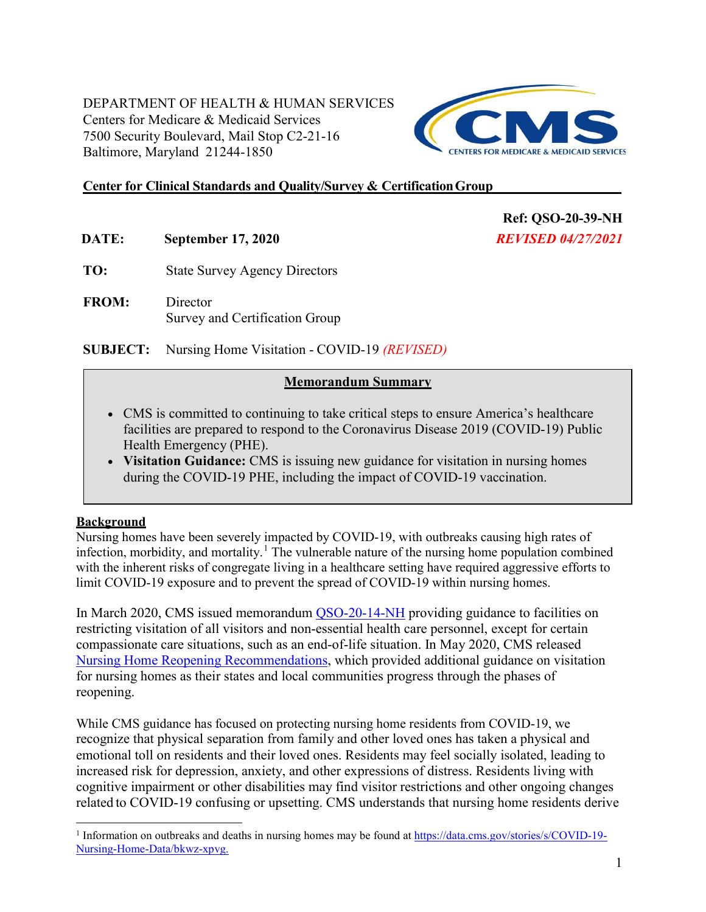DEPARTMENT OF HEALTH & HUMAN SERVICES Centers for Medicare & Medicaid Services 7500 Security Boulevard, Mail Stop C2-21-16 Baltimore, Maryland 21244-1850



**Ref: QSO-20-39-NH**  *REVISED 04/27/2021* 

#### **Center for Clinical Standards and Quality/Survey & CertificationGroup**

**DATE: September 17, 2020** 

**TO:** State Survey Agency Directors

**FROM:** Director Survey and Certification Group

**SUBJECT:** Nursing Home Visitation - COVID-19 *(REVISED)*

#### **Memorandum Summary**

- CMS is committed to continuing to take critical steps to ensure America's healthcare facilities are prepared to respond to the Coronavirus Disease 2019 (COVID-19) Public Health Emergency (PHE).
- **Visitation Guidance:** CMS is issuing new guidance for visitation in nursing homes during the COVID-19 PHE, including the impact of COVID-19 vaccination.

#### **Background**

Nursing homes have been severely impacted by COVID-19, with outbreaks causing high rates of infection, morbidity, and mortality.<sup>[1](#page-0-1)</sup> [T](#page-0-0)he vulnerable nature of the nursing home population combined with the inherent risks of congregate living in a healthcare setting have required aggressive efforts to limit COVID-19 exposure and to prevent the spread of COVID-19 within nursing homes.

In March 2020, CMS issued memorandum [QSO-20-14-NH](https://www.cms.gov/files/document/qso-20-14-nh-revised.pdf) providing guidance to facilities on restricting visitation of all visitors and non-essential health care personnel, except for certain compassionate care situations, such as an end-of-life situation. In May 2020, CMS released [Nursing Home Reopening Recommendations,](https://www.cms.gov/files/document/qso-20-30-nh.pdf-0) which provided additional guidance on visitation for nursing homes as their states and local communities progress through the phases of reopening.

<span id="page-0-0"></span>While CMS guidance has focused on protecting nursing home residents from COVID-19, we recognize that physical separation from family and other loved ones has taken a physical and emotional toll on residents and their loved ones. Residents may feel socially isolated, leading to increased risk for depression, anxiety, and other expressions of distress. Residents living with cognitive impairment or other disabilities may find visitor restrictions and other ongoing changes related to COVID-19 confusing or upsetting. CMS understands that nursing home residents derive

<span id="page-0-1"></span><sup>&</sup>lt;sup>1</sup> Information on outbreaks and deaths in nursing homes may be found at [https://data.cms.gov/stories/s/COVID-19-](https://data.cms.gov/stories/s/COVID-19-Nursing-Home-Data/bkwz-xpvg) [Nursing-Home-Data/bkwz-xpvg.](https://data.cms.gov/stories/s/COVID-19-Nursing-Home-Data/bkwz-xpvg)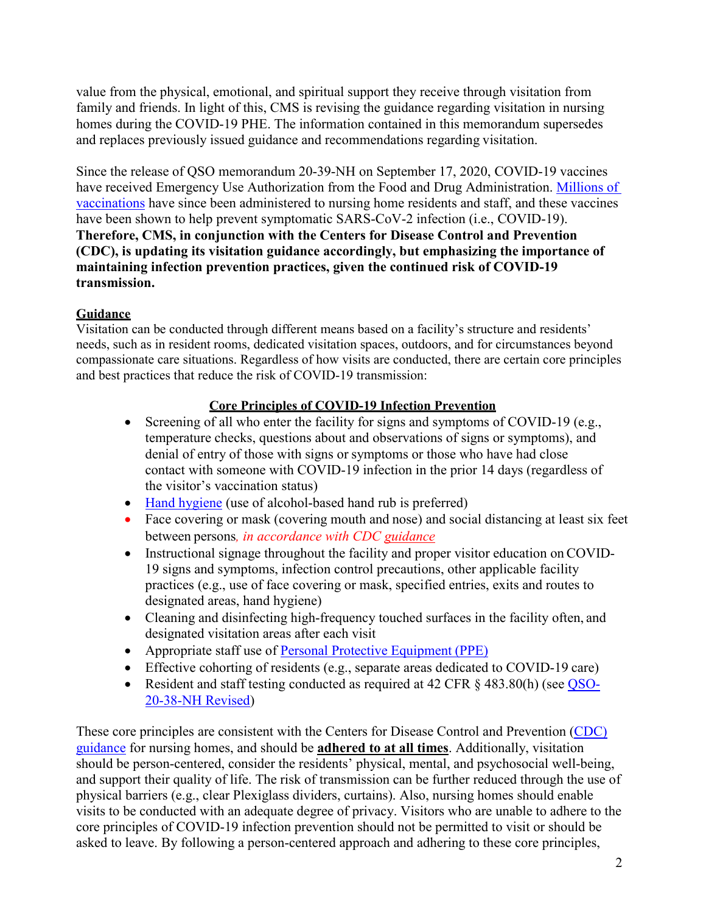value from the physical, emotional, and spiritual support they receive through visitation from family and friends. In light of this, CMS is revising the guidance regarding visitation in nursing homes during the COVID-19 PHE. The information contained in this memorandum supersedes and replaces previously issued guidance and recommendations regarding visitation.

Since the release of QSO memorandum 20-39-NH on September 17, 2020, COVID-19 vaccines have received Emergency Use Authorization from the Food and Drug Administration. [Millions of](https://covid.cdc.gov/covid-data-tracker/#vaccinations-ltc)  [vaccinations](https://covid.cdc.gov/covid-data-tracker/#vaccinations-ltc) have since been administered to nursing home residents and staff, and these vaccines have been shown to help prevent symptomatic SARS-CoV-2 infection (i.e., COVID-19). **Therefore, CMS, in conjunction with the Centers for Disease Control and Prevention (CDC), is updating its visitation guidance accordingly, but emphasizing the importance of maintaining infection prevention practices, given the continued risk of COVID-19 transmission.**

# **Guidance**

Visitation can be conducted through different means based on a facility's structure and residents' needs, such as in resident rooms, dedicated visitation spaces, outdoors, and for circumstances beyond compassionate care situations. Regardless of how visits are conducted, there are certain core principles and best practices that reduce the risk of COVID-19 transmission:

# **Core Principles of COVID-19 Infection Prevention**

- Screening of all who enter the facility for signs and symptoms of COVID-19 (e.g., temperature checks, questions about and observations of signs or symptoms), and denial of entry of those with signs or symptoms or those who have had close contact with someone with COVID-19 infection in the prior 14 days (regardless of the visitor's vaccination status)
- [Hand hygiene](https://www.cdc.gov/handhygiene/pdfs/Provider-Factsheet-508.pdf) (use of alcohol-based hand rub is preferred)
- Face covering or mask (covering mouth and nose) and social distancing at least six feet between persons*, in accordance with CDC [guidance](https://www.cdc.gov/coronavirus/2019-ncov/hcp/infection-control-after-vaccination.html)*
- Instructional signage throughout the facility and proper visitor education on COVID-19 signs and symptoms, infection control precautions, other applicable facility practices (e.g., use of face covering or mask, specified entries, exits and routes to designated areas, hand hygiene)
- Cleaning and disinfecting high-frequency touched surfaces in the facility often, and designated visitation areas after each visit
- Appropriate staff use of **Personal Protective Equipment (PPE)**
- Effective cohorting of residents (e.g., separate areas dedicated to COVID-19 care)
- Resident and staff testing conducted as required at 42 CFR § 483.80(h) (see [QSO-](https://www.cms.gov/files/document/qso-20-38-nh-revised.pdf)[20-38-NH Revised\)](https://edit.cms.gov/files/document/qso-20-38-nh-revised.pdf)

These core principles are consistent with the Centers for Disease Control and Prevention [\(CDC\)](https://www.cdc.gov/coronavirus/2019-ncov/hcp/long-term-care.html?CDC_AA_refVal=https%3A%2F%2Fwww.cdc.gov%2Fcoronavirus%2F2019-ncov%2Fhealthcare-facilities%2Fprevent-spread-in-long-term-care-facilities.html) [guidance](https://www.cdc.gov/coronavirus/2019-ncov/hcp/long-term-care.html?CDC_AA_refVal=https%3A%2F%2Fwww.cdc.gov%2Fcoronavirus%2F2019-ncov%2Fhealthcare-facilities%2Fprevent-spread-in-long-term-care-facilities.html) for nursing homes, and should be **adhered to at all times**. Additionally, visitation should be person-centered, consider the residents' physical, mental, and psychosocial well-being, and support their quality of life. The risk of transmission can be further reduced through the use of physical barriers (e.g., clear Plexiglass dividers, curtains). Also, nursing homes should enable visits to be conducted with an adequate degree of privacy. Visitors who are unable to adhere to the core principles of COVID-19 infection prevention should not be permitted to visit or should be asked to leave. By following a person-centered approach and adhering to these core principles,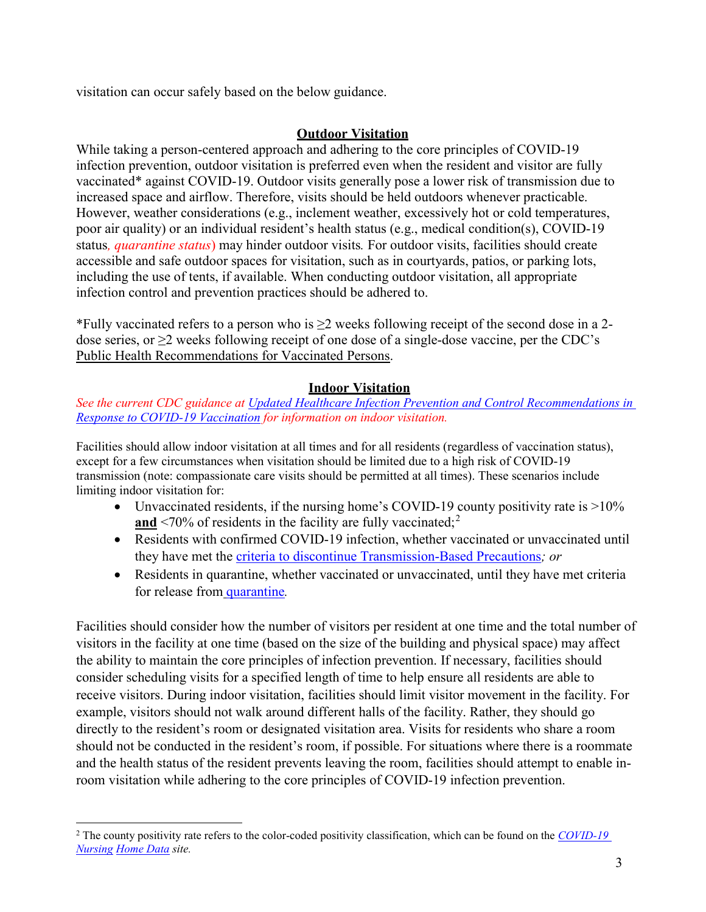visitation can occur safely based on the below guidance.

### **Outdoor Visitation**

While taking a person-centered approach and adhering to the core principles of COVID-19 infection prevention, outdoor visitation is preferred even when the resident and visitor are fully vaccinated\* against COVID-19. Outdoor visits generally pose a lower risk of transmission due to increased space and airflow. Therefore, visits should be held outdoors whenever practicable. However, weather considerations (e.g., inclement weather, excessively hot or cold temperatures, poor air quality) or an individual resident's health status (e.g., medical condition(s), COVID-19 status*, quarantine status*) may hinder outdoor visits*.* For outdoor visits, facilities should create accessible and safe outdoor spaces for visitation, such as in courtyards, patios, or parking lots, including the use of tents, if available. When conducting outdoor visitation, all appropriate infection control and prevention practices should be adhered to.

\*Fully vaccinated refers to a person who is ≥2 weeks following receipt of the second dose in a 2 dose series, or  $\geq$ 2 weeks following receipt of one dose of a single-dose vaccine, per the CDC's [Public Health Recommendations for Vaccinated Persons.](https://www.cdc.gov/vaccines/covid-19/info-by-product/clinical-considerations.html)

### **Indoor Visitation**

#### *See the current CDC guidance at [Updated Healthcare Infection Prevention and Control Recommendations in](https://www.cdc.gov/coronavirus/2019-ncov/hcp/infection-control-after-vaccination.html)  [Response to COVID-19 Vaccination](https://www.cdc.gov/coronavirus/2019-ncov/hcp/infection-control-after-vaccination.html) for information on indoor visitation.*

Facilities should allow indoor visitation at all times and for all residents (regardless of vaccination status), except for a few circumstances when visitation should be limited due to a high risk of COVID-19 transmission (note: compassionate care visits should be permitted at all times). These scenarios include limiting indoor visitation for:

- Unvaccinated residents, if the nursing home's COVID-19 county positivity rate is >10% and <70% of residents in the facility are fully vaccinated;<sup>[2](#page-2-0)</sup>
- Residents with confirmed COVID-19 infection, whether vaccinated or unvaccinated until they have met the [criteria to discontinue Transmission-Based Precautions](https://www.cdc.gov/coronavirus/2019-ncov/hcp/disposition-hospitalized-patients.html)*; or*
- Residents in quarantine, whether vaccinated or unvaccinated, until they have met criteria for release from [quarantine](https://www.cdc.gov/coronavirus/2019-ncov/hcp/long-term-care.html)*.*

Facilities should consider how the number of visitors per resident at one time and the total number of visitors in the facility at one time (based on the size of the building and physical space) may affect the ability to maintain the core principles of infection prevention. If necessary, facilities should consider scheduling visits for a specified length of time to help ensure all residents are able to receive visitors. During indoor visitation, facilities should limit visitor movement in the facility. For example, visitors should not walk around different halls of the facility. Rather, they should go directly to the resident's room or designated visitation area. Visits for residents who share a room should not be conducted in the resident's room, if possible. For situations where there is a roommate and the health status of the resident prevents leaving the room, facilities should attempt to enable inroom visitation while adhering to the core principles of COVID-19 infection prevention.

 $\overline{a}$ 

<span id="page-2-0"></span><sup>2</sup> The county positivity rate refers to the color-coded positivity classification, which can be found on the *[COVID-19](https://data.cms.gov/stories/s/COVID-19-Nursing-Home-Data/bkwz-xpvg)  [Nursing](https://data.cms.gov/stories/s/COVID-19-Nursing-Home-Data/bkwz-xpvg) [Home Data](https://data.cms.gov/stories/s/COVID-19-Nursing-Home-Data/bkwz-xpvg) site.*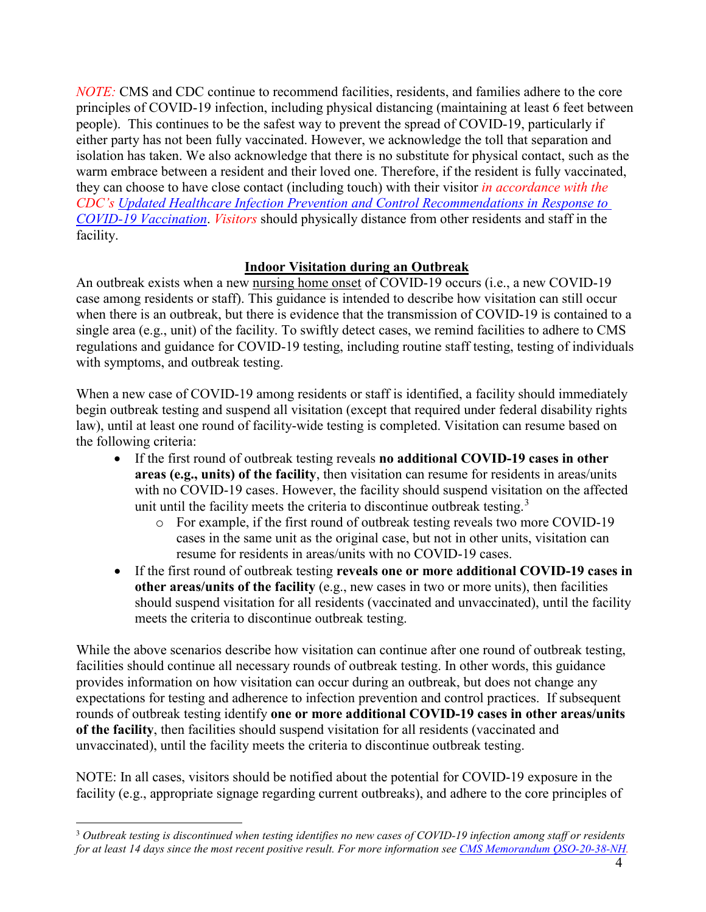*NOTE:* CMS and CDC continue to recommend facilities, residents, and families adhere to the core principles of COVID-19 infection, including physical distancing (maintaining at least 6 feet between people). This continues to be the safest way to prevent the spread of COVID-19, particularly if either party has not been fully vaccinated. However, we acknowledge the toll that separation and isolation has taken. We also acknowledge that there is no substitute for physical contact, such as the warm embrace between a resident and their loved one. Therefore, if the resident is fully vaccinated, they can choose to have close contact (including touch) with their visitor *in accordance with the CDC's [Updated Healthcare Infection Prevention and Control Recommendations in Response to](https://www.cdc.gov/coronavirus/2019-ncov/hcp/infection-control-after-vaccination.html)  [COVID-19 Vaccination](https://www.cdc.gov/coronavirus/2019-ncov/hcp/infection-control-after-vaccination.html)*. *Visitors* should physically distance from other residents and staff in the facility.

### **Indoor Visitation during an Outbreak**

An outbreak exists when a new [nursing home onset](https://www.cdc.gov/coronavirus/2019-ncov/hcp/nursing-homes-testing.html#nursing-home) of COVID-19 occurs (i.e., a new COVID-19 case among residents or staff). This guidance is intended to describe how visitation can still occur when there is an outbreak, but there is evidence that the transmission of COVID-19 is contained to a single area (e.g., unit) of the facility. To swiftly detect cases, we remind facilities to adhere to CMS regulations and guidance for COVID-19 testing, including routine staff testing, testing of individuals with symptoms, and outbreak testing.

When a new case of COVID-19 among residents or staff is identified, a facility should immediately begin outbreak testing and suspend all visitation (except that required under federal disability rights law), until at least one round of facility-wide testing is completed. Visitation can resume based on the following criteria:

- If the first round of outbreak testing reveals **no additional COVID-19 cases in other areas (e.g., units) of the facility**, then visitation can resume for residents in areas/units with no COVID-19 cases. However, the facility should suspend visitation on the affected unit until the facility meets the criteria to discontinue outbreak testing.<sup>[3](#page-3-0)</sup>
	- o For example, if the first round of outbreak testing reveals two more COVID-19 cases in the same unit as the original case, but not in other units, visitation can resume for residents in areas/units with no COVID-19 cases.
- If the first round of outbreak testing **reveals one or more additional COVID-19 cases in other areas/units of the facility** (e.g., new cases in two or more units), then facilities should suspend visitation for all residents (vaccinated and unvaccinated), until the facility meets the criteria to discontinue outbreak testing.

While the above scenarios describe how visitation can continue after one round of outbreak testing, facilities should continue all necessary rounds of outbreak testing. In other words, this guidance provides information on how visitation can occur during an outbreak, but does not change any expectations for testing and adherence to infection prevention and control practices. If subsequent rounds of outbreak testing identify **one or more additional COVID-19 cases in other areas/units of the facility**, then facilities should suspend visitation for all residents (vaccinated and unvaccinated), until the facility meets the criteria to discontinue outbreak testing.

NOTE: In all cases, visitors should be notified about the potential for COVID-19 exposure in the facility (e.g., appropriate signage regarding current outbreaks), and adhere to the core principles of

<span id="page-3-0"></span> $\overline{a}$ <sup>3</sup> *Outbreak testing is discontinued when testing identifies no new cases of COVID-19 infection among staff or residents for at least 14 days since the most recent positive result. For more information se[e CMS Memorandum QSO-20-38-NH.](https://www.cms.gov/files/document/qso-20-38-nh.pdf)*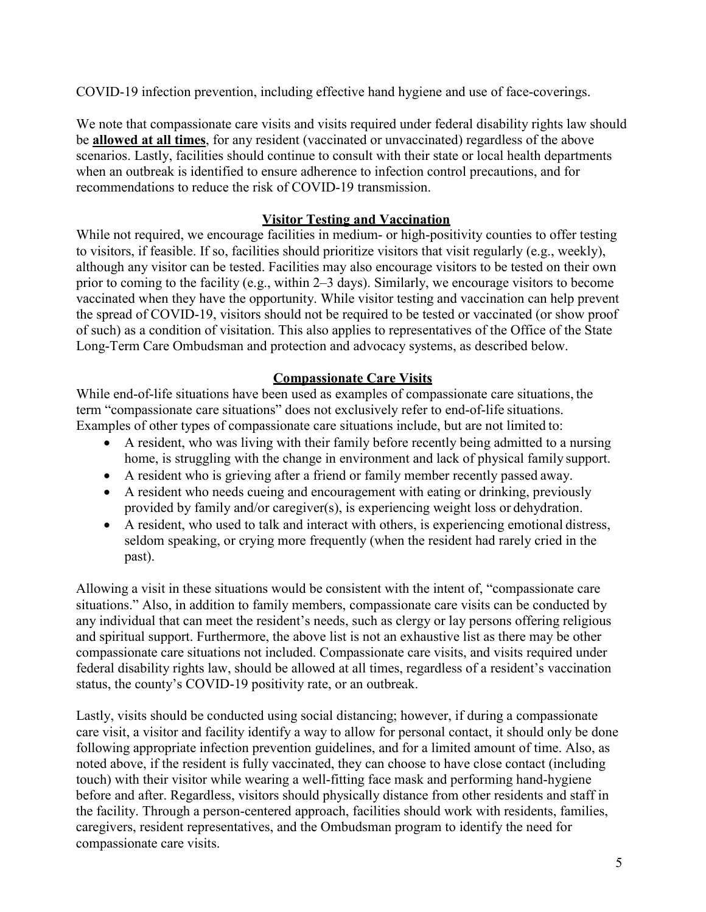COVID-19 infection prevention, including effective hand hygiene and use of face-coverings.

We note that compassionate care visits and visits required under federal disability rights law should be **allowed at all times**, for any resident (vaccinated or unvaccinated) regardless of the above scenarios. Lastly, facilities should continue to consult with their state or local health departments when an outbreak is identified to ensure adherence to infection control precautions, and for recommendations to reduce the risk of COVID-19 transmission.

### **Visitor Testing and Vaccination**

While not required, we encourage facilities in medium- or high-positivity counties to offer testing to visitors, if feasible. If so, facilities should prioritize visitors that visit regularly (e.g., weekly), although any visitor can be tested. Facilities may also encourage visitors to be tested on their own prior to coming to the facility (e.g., within 2–3 days). Similarly, we encourage visitors to become vaccinated when they have the opportunity. While visitor testing and vaccination can help prevent the spread of COVID-19, visitors should not be required to be tested or vaccinated (or show proof of such) as a condition of visitation. This also applies to representatives of the Office of the State Long-Term Care Ombudsman and protection and advocacy systems, as described below.

### **Compassionate Care Visits**

While end-of-life situations have been used as examples of compassionate care situations, the term "compassionate care situations" does not exclusively refer to end-of-life situations. Examples of other types of compassionate care situations include, but are not limited to:

- A resident, who was living with their family before recently being admitted to a nursing home, is struggling with the change in environment and lack of physical family support.
- A resident who is grieving after a friend or family member recently passed away.
- A resident who needs cueing and encouragement with eating or drinking, previously provided by family and/or caregiver(s), is experiencing weight loss or dehydration.
- A resident, who used to talk and interact with others, is experiencing emotional distress, seldom speaking, or crying more frequently (when the resident had rarely cried in the past).

Allowing a visit in these situations would be consistent with the intent of, "compassionate care situations." Also, in addition to family members, compassionate care visits can be conducted by any individual that can meet the resident's needs, such as clergy or lay persons offering religious and spiritual support. Furthermore, the above list is not an exhaustive list as there may be other compassionate care situations not included. Compassionate care visits, and visits required under federal disability rights law, should be allowed at all times, regardless of a resident's vaccination status, the county's COVID-19 positivity rate, or an outbreak.

Lastly, visits should be conducted using social distancing; however, if during a compassionate care visit, a visitor and facility identify a way to allow for personal contact, it should only be done following appropriate infection prevention guidelines, and for a limited amount of time. Also, as noted above, if the resident is fully vaccinated, they can choose to have close contact (including touch) with their visitor while wearing a well-fitting face mask and performing hand-hygiene before and after. Regardless, visitors should physically distance from other residents and staff in the facility. Through a person-centered approach, facilities should work with residents, families, caregivers, resident representatives, and the Ombudsman program to identify the need for compassionate care visits.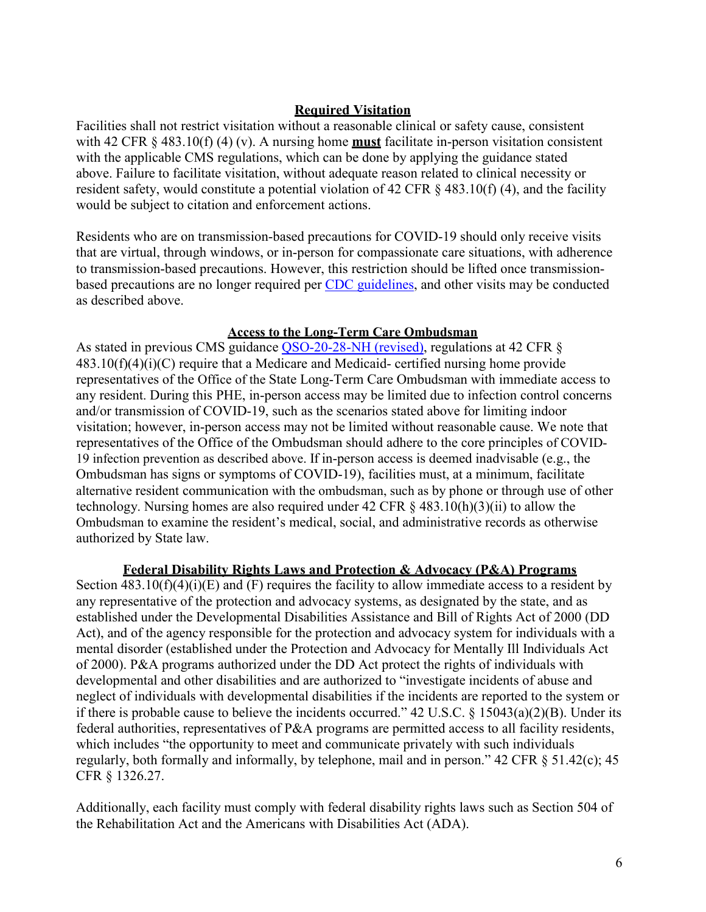#### **Required Visitation**

Facilities shall not restrict visitation without a reasonable clinical or safety cause, consistent with 42 CFR  $\S 483.10(f) (4) (v)$ . A nursing home **must** facilitate in-person visitation consistent with the applicable CMS regulations, which can be done by applying the guidance stated above. Failure to facilitate visitation, without adequate reason related to clinical necessity or resident safety, would constitute a potential violation of 42 CFR § 483.10(f) (4), and the facility would be subject to citation and enforcement actions.

Residents who are on transmission-based precautions for COVID-19 should only receive visits that are virtual, through windows, or in-person for compassionate care situations, with adherence to transmission-based precautions. However, this restriction should be lifted once transmissionbased precautions are no longer required per [CDC guidelines,](https://www.cdc.gov/coronavirus/2019-ncov/hcp/disposition-hospitalized-patients.html) and other visits may be conducted as described above.

#### **Access to the Long-Term Care Ombudsman**

As stated in previous CMS guidance [QSO-20-28-NH \(revised\),](https://www.cms.gov/files/document/qso-20-28-nh-revised.pdf) regulations at 42 CFR §  $483.10(f)(4)(i)(C)$  require that a Medicare and Medicaid- certified nursing home provide representatives of the Office of the State Long-Term Care Ombudsman with immediate access to any resident. During this PHE, in-person access may be limited due to infection control concerns and/or transmission of COVID-19, such as the scenarios stated above for limiting indoor visitation; however, in-person access may not be limited without reasonable cause. We note that representatives of the Office of the Ombudsman should adhere to the core principles of COVID-19 infection prevention as described above. If in-person access is deemed inadvisable (e.g., the Ombudsman has signs or symptoms of COVID-19), facilities must, at a minimum, facilitate alternative resident communication with the ombudsman, such as by phone or through use of other technology. Nursing homes are also required under  $42 \text{ CFR} \text{ } \text{\&} 483.10(h)(3)(ii)$  to allow the Ombudsman to examine the resident's medical, social, and administrative records as otherwise authorized by State law.

#### **Federal Disability Rights Laws and Protection & Advocacy (P&A) Programs**

Section  $483.10(f)(4)(i)(E)$  and  $(F)$  requires the facility to allow immediate access to a resident by any representative of the protection and advocacy systems, as designated by the state, and as established under the Developmental Disabilities Assistance and Bill of Rights Act of 2000 (DD Act), and of the agency responsible for the protection and advocacy system for individuals with a mental disorder (established under the Protection and Advocacy for Mentally Ill Individuals Act of 2000). P&A programs authorized under the DD Act protect the rights of individuals with developmental and other disabilities and are authorized to "investigate incidents of abuse and neglect of individuals with developmental disabilities if the incidents are reported to the system or if there is probable cause to believe the incidents occurred." 42 U.S.C. § 15043(a)(2)(B). Under its federal authorities, representatives of P&A programs are permitted access to all facility residents, which includes "the opportunity to meet and communicate privately with such individuals regularly, both formally and informally, by telephone, mail and in person." 42 CFR § 51.42(c); 45 CFR § 1326.27.

Additionally, each facility must comply with federal disability rights laws such as Section 504 of the Rehabilitation Act and the Americans with Disabilities Act (ADA).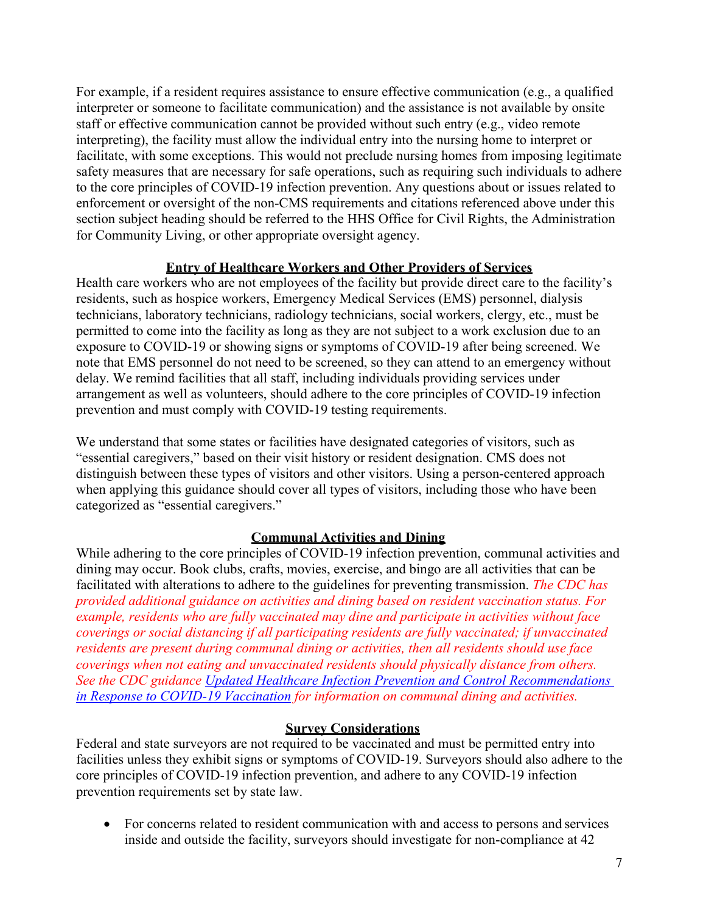For example, if a resident requires assistance to ensure effective communication (e.g., a qualified interpreter or someone to facilitate communication) and the assistance is not available by onsite staff or effective communication cannot be provided without such entry (e.g., video remote interpreting), the facility must allow the individual entry into the nursing home to interpret or facilitate, with some exceptions. This would not preclude nursing homes from imposing legitimate safety measures that are necessary for safe operations, such as requiring such individuals to adhere to the core principles of COVID-19 infection prevention. Any questions about or issues related to enforcement or oversight of the non-CMS requirements and citations referenced above under this section subject heading should be referred to the HHS Office for Civil Rights, the Administration for Community Living, or other appropriate oversight agency.

#### **Entry of Healthcare Workers and Other Providers of Services**

Health care workers who are not employees of the facility but provide direct care to the facility's residents, such as hospice workers, Emergency Medical Services (EMS) personnel, dialysis technicians, laboratory technicians, radiology technicians, social workers, clergy, etc., must be permitted to come into the facility as long as they are not subject to a work exclusion due to an exposure to COVID-19 or showing signs or symptoms of COVID-19 after being screened. We note that EMS personnel do not need to be screened, so they can attend to an emergency without delay. We remind facilities that all staff, including individuals providing services under arrangement as well as volunteers, should adhere to the core principles of COVID-19 infection prevention and must comply with COVID-19 testing requirements.

We understand that some states or facilities have designated categories of visitors, such as "essential caregivers," based on their visit history or resident designation. CMS does not distinguish between these types of visitors and other visitors. Using a person-centered approach when applying this guidance should cover all types of visitors, including those who have been categorized as "essential caregivers."

# **Communal Activities and Dining**

While adhering to the core principles of COVID-19 infection prevention, communal activities and dining may occur. Book clubs, crafts, movies, exercise, and bingo are all activities that can be facilitated with alterations to adhere to the guidelines for preventing transmission. *The CDC has provided additional guidance on activities and dining based on resident vaccination status. For example, residents who are fully vaccinated may dine and participate in activities without face coverings or social distancing if all participating residents are fully vaccinated; if unvaccinated residents are present during communal dining or activities, then all residents should use face coverings when not eating and unvaccinated residents should physically distance from others. See the CDC guidance [Updated Healthcare Infection Prevention and Control Recommendations](https://www.cdc.gov/coronavirus/2019-ncov/hcp/infection-control-after-vaccination.html)  [in Response to COVID-19 Vaccination](https://www.cdc.gov/coronavirus/2019-ncov/hcp/infection-control-after-vaccination.html) for information on communal dining and activities.*

#### **Survey Considerations**

Federal and state surveyors are not required to be vaccinated and must be permitted entry into facilities unless they exhibit signs or symptoms of COVID-19. Surveyors should also adhere to the core principles of COVID-19 infection prevention, and adhere to any COVID-19 infection prevention requirements set by state law.

• For concerns related to resident communication with and access to persons and services inside and outside the facility, surveyors should investigate for non-compliance at 42